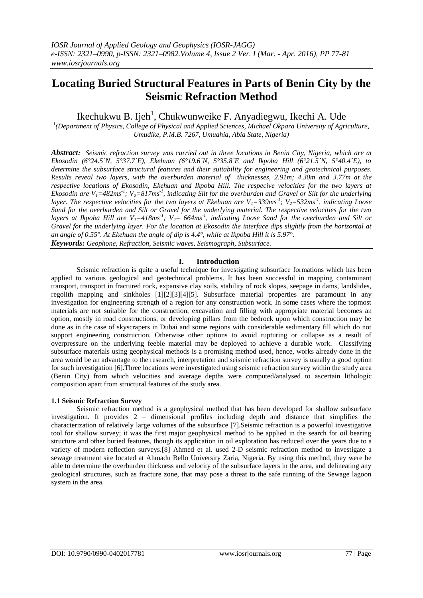# **Locating Buried Structural Features in Parts of Benin City by the Seismic Refraction Method**

# Ikechukwu B. Ijeh<sup>1</sup>, Chukwunweike F. Anyadiegwu, Ikechi A. Ude

<sup>1</sup>(Department of Physics, College of Physical and Applied Sciences, Michael Okpara University of Agriculture, *Umudike, P.M.B. 7267, Umuahia, Abia State, Nigeria)*

*Abstract: Seismic refraction survey was carried out in three locations in Benin City, Nigeria, which are at Ekosodin (6°24.5´N, 5°37.7´E), Ekehuan (6°19.6´N, 5°35.8´E and Ikpoba Hill (6°21.5´N, 5°40.4´E), to determine the subsurface structural features and their suitability for engineering and geotechnical purposes. Results reveal two layers, with the overburden material of thicknesses, 2.91m; 4.30m and 3.77m at the respective locations of Ekosodin, Ekehuan and Ikpoba Hill. The respecive velocities for the two layers at Ekosodin are*  $V_1$ *=482ms<sup>-1</sup>;*  $V_2$ *=817ms<sup>-1</sup>, indicating Silt for the overburden and Gravel or Silt for the underlying layer. The respective velocities for the two layers at Ekehuan are*  $V_1 = 339$ *ms<sup>-1</sup>;*  $V_2 = 532$ *ms<sup>-1</sup>, indicating Loose Sand for the overburden and Silt or Gravel for the underlying material. The respective velocities for the two layers at Ikpoba Hill are*  $V_1 = 418 \text{ms}^1$ *;*  $V_2 = 664 \text{ms}^1$ *, indicating Loose Sand for the overburden and Silt or Gravel for the underlying layer. For the location at Ekosodin the interface dips slightly from the horizontal at an angle of 0.55°. At Ekehuan the angle of dip is 4.4°, while at Ikpoba Hill it is 5.97°.*

*Keywords: Geophone, Refraction, Seismic waves, Seismograph, Subsurface.*

## **I. Introduction**

Seismic refraction is quite a useful technique for investigating subsurface formations which has been applied to various geological and geotechnical problems. It has been successful in mapping contaminant transport, transport in fractured rock, expansive clay soils, stability of rock slopes, seepage in dams, landslides, regolith mapping and sinkholes [1][2][3][4][5]. Subsurface material properties are paramount in any investigation for engineering strength of a region for any construction work. In some cases where the topmost materials are not suitable for the construction, excavation and filling with appropriate material becomes an option, mostly in road constructions, or developing pillars from the bedrock upon which construction may be done as in the case of skyscrapers in Dubai and some regions with considerable sedimentary fill which do not support engineering construction. Otherwise other options to avoid rupturing or collapse as a result of overpressure on the underlying feeble material may be deployed to achieve a durable work. Classifying subsurface materials using geophysical methods is a promising method used, hence, works already done in the area would be an advantage to the research, interpretation and seismic refraction survey is usually a good option for such investigation [6].Three locations were investigated using seismic refraction survey within the study area (Benin City) from which velocities and average depths were computed/analysed to ascertain lithologic composition apart from structural features of the study area.

### **1.1 Seismic Refraction Survey**

Seismic refraction method is a geophysical method that has been developed for shallow subsurface investigation. It provides 2 – dimensional profiles including depth and distance that simplifies the characterization of relatively large volumes of the subsurface [7].Seismic refraction is a powerful investigative tool for shallow survey; it was the first major geophysical method to be applied in the search for oil bearing structure and other buried features, though its application in oil exploration has reduced over the years due to a variety of modern reflection surveys.[8] Ahmed et al. used 2-D seismic refraction method to investigate a sewage treatment site located at Ahmadu Bello University Zaria, Nigeria. By using this method, they were be able to determine the overburden thickness and velocity of the subsurface layers in the area, and delineating any geological structures, such as fracture zone, that may pose a threat to the safe running of the Sewage lagoon system in the area.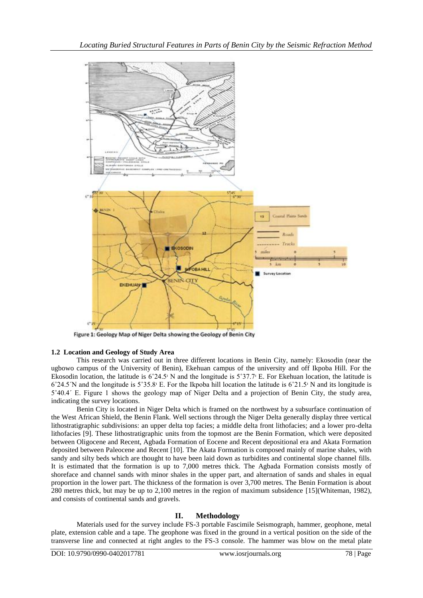

Figure 1: Geology Map of Niger Delta showing the Geology of Benin City

### **1.2 Location and Geology of Study Area**

This research was carried out in three different locations in Benin City, namely: Ekosodin (near the ugbowo campus of the University of Benin), Ekehuan campus of the university and off Ikpoba Hill. For the Ekosodin location, the latitude is  $6^{\circ}24.5^{\circ}$  N and the longitude is  $5^{\circ}37.7^{\circ}$  E. For Ekehuan location, the latitude is  $6°24.5'$ N and the longitude is  $5°35.8'$  E. For the Ikpoba hill location the latitude is  $6°21.5'$  N and its longitude is 5˚40.4´ E. Figure 1 shows the geology map of Niger Delta and a projection of Benin City, the study area, indicating the survey locations.

Benin City is located in Niger Delta which is framed on the northwest by a subsurface continuation of the West African Shield, the Benin Flank. Well sections through the Niger Delta generally display three vertical lithostratigraphic subdivisions: an upper delta top facies; a middle delta front lithofacies; and a lower pro-delta lithofacies [9]. These lithostratigraphic units from the topmost are the Benin Formation, which were deposited between Oligocene and Recent, Agbada Formation of Eocene and Recent depositional era and Akata Formation deposited between Paleocene and Recent [10]. The Akata Formation is composed mainly of marine shales, with sandy and silty beds which are thought to have been laid down as turbidites and continental slope channel fills. It is estimated that the formation is up to 7,000 metres thick. The Agbada Formation consists mostly of shoreface and channel sands with minor shales in the upper part, and alternation of sands and shales in equal proportion in the lower part. The thickness of the formation is over 3,700 metres. The Benin Formation is about 280 metres thick, but may be up to 2,100 metres in the region of maximum subsidence [15](Whiteman, 1982), and consists of continental sands and gravels.

### **II. Methodology**

Materials used for the survey include FS-3 portable Fascimile Seismograph, hammer, geophone, metal plate, extension cable and a tape. The geophone was fixed in the ground in a vertical position on the side of the transverse line and connected at right angles to the FS-3 console. The hammer was blow on the metal plate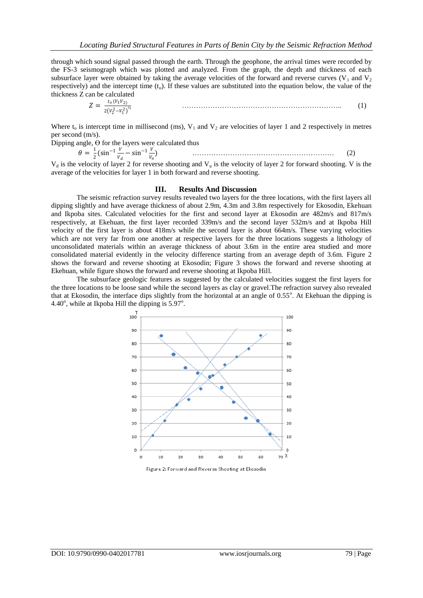through which sound signal passed through the earth. Through the geophone, the arrival times were recorded by the FS-3 seismograph which was plotted and analyzed. From the graph, the depth and thickness of each subsurface layer were obtained by taking the average velocities of the forward and reverse curves ( $V_1$  and  $V_2$ ) respectively) and the intercept time  $(t_0)$ . If these values are substituted into the equation below, the value of the thickness Z can be calculated

$$
Z = \frac{t_0(V_1V_2)}{2(V_2^2 - V_1^2)^{1/2}}
$$
 (1)

Where  $t_0$  is intercept time in millisecond (ms),  $V_1$  and  $V_2$  are velocities of layer 1 and 2 respectively in metres per second (m/s).

Dipping angle, ϴ for the layers were calculated thus

$$
\theta = \frac{1}{2} \left( \sin^{-1} \frac{v}{v_d} - \sin^{-1} \frac{v}{v_u} \right) \tag{2}
$$

 $V_d$  is the velocity of layer 2 for reverse shooting and  $V_u$  is the velocity of layer 2 for forward shooting. V is the average of the velocities for layer 1 in both forward and reverse shooting.

#### **III. Results And Discussion**

The seismic refraction survey results revealed two layers for the three locations, with the first layers all dipping slightly and have average thickness of about 2.9m, 4.3m and 3.8m respectively for Ekosodin, Ekehuan and Ikpoba sites. Calculated velocities for the first and second layer at Ekosodin are 482m/s and 817m/s respectively, at Ekehuan, the first layer recorded 339m/s and the second layer 532m/s and at Ikpoba Hill velocity of the first layer is about 418m/s while the second layer is about 664m/s. These varying velocities which are not very far from one another at respective layers for the three locations suggests a lithology of unconsolidated materials within an average thickness of about 3.6m in the entire area studied and more consolidated material evidently in the velocity difference starting from an average depth of 3.6m. Figure 2 shows the forward and reverse shooting at Ekosodin; Figure 3 shows the forward and reverse shooting at Ekehuan, while figure shows the forward and reverse shooting at Ikpoba Hill.

The subsurface geologic features as suggested by the calculated velocities suggest the first layers for the three locations to be loose sand while the second layers as clay or gravel.The refraction survey also revealed that at Ekosodin, the interface dips slightly from the horizontal at an angle of 0.55°. At Ekehuan the dipping is 4.40 $^{\circ}$ , while at Ikpoba Hill the dipping is  $5.97^{\circ}$ .



Figure 2: Forward and Reverse Shooting at Ekosodin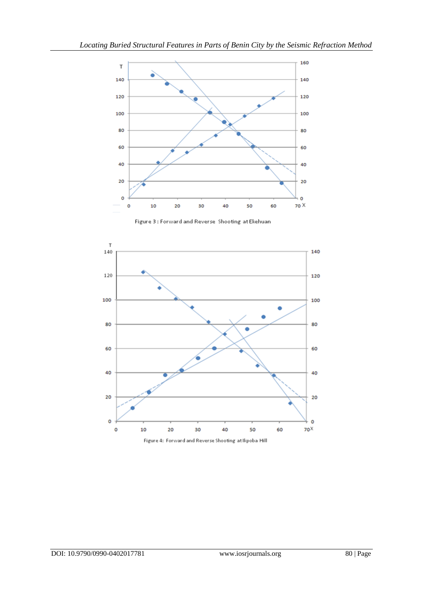

Figure 3 : Forward and Reverse Shooting at Ekehuan